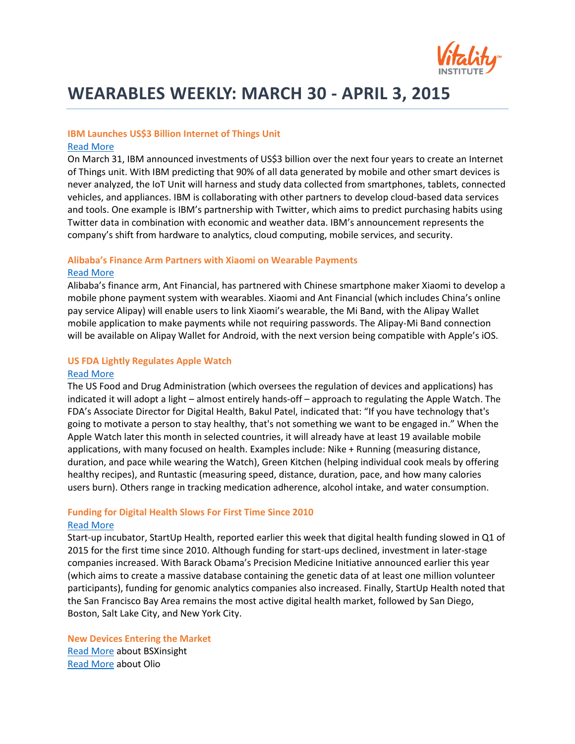

# **WEARABLES WEEKLY: MARCH 30 - APRIL 3, 2015**

## **IBM Launches US\$3 Billion Internet of Things Unit**

#### [Read More](http://www.nytimes.com/aponline/2015/03/31/technology/ap-us-tec-ibm-internet-of-things.html?_r=0)

On March 31, IBM announced investments of US\$3 billion over the next four years to create an Internet of Things unit. With IBM predicting that 90% of all data generated by mobile and other smart devices is never analyzed, the IoT Unit will harness and study data collected from smartphones, tablets, connected vehicles, and appliances. IBM is collaborating with other partners to develop cloud-based data services and tools. One example is IBM's partnership with Twitter, which aims to predict purchasing habits using Twitter data in combination with economic and weather data. IBM's announcement represents the company's shift from hardware to analytics, cloud computing, mobile services, and security.

### **Alibaba's Finance Arm Partners with Xiaomi on Wearable Payments**

#### [Read More](http://www.reuters.com/article/2015/04/02/us-alibaba-xiaomi-payment-idUSKBN0MT13520150402)

Alibaba's finance arm, Ant Financial, has partnered with Chinese smartphone maker Xiaomi to develop a mobile phone payment system with wearables. Xiaomi and Ant Financial (which includes China's online pay service Alipay) will enable users to link Xiaomi's wearable, the Mi Band, with the Alipay Wallet mobile application to make payments while not requiring passwords. The Alipay-Mi Band connection will be available on Alipay Wallet for Android, with the next version being compatible with Apple's iOS.

#### **US FDA Lightly Regulates Apple Watch**

#### [Read More](http://www.bloomberg.com/news/articles/2015-03-30/fda-taking-a-very-light-touch-on-regulating-the-apple-watch)

The US Food and Drug Administration (which oversees the regulation of devices and applications) has indicated it will adopt a light – almost entirely hands-off – approach to regulating the Apple Watch. The FDA's Associate Director for Digital Health, Bakul Patel, indicated that: "If you have technology that's going to motivate a person to stay healthy, that's not something we want to be engaged in." When the Apple Watch later this month in selected countries, it will already have at least 19 available mobile applications, with many focused on health. Examples include: Nike + Running (measuring distance, duration, and pace while wearing the Watch), Green Kitchen (helping individual cook meals by offering healthy recipes), and Runtastic (measuring speed, distance, duration, pace, and how many calories users burn). Others range in tracking medication adherence, alcohol intake, and water consumption.

## **Funding for Digital Health Slows For First Time Since 2010** [Read More](https://suh-s3-nfs.s3.amazonaws.com/static/pdfs/StartUp-Health-Insights-Report-2015-Q1.pdf)

Start-up incubator, StartUp Health, reported earlier this week that digital health funding slowed in Q1 of 2015 for the first time since 2010. Although funding for start-ups declined, investment in later-stage companies increased. With Barack Obama's Precision Medicine Initiative announced earlier this year (which aims to create a massive database containing the genetic data of at least one million volunteer participants), funding for genomic analytics companies also increased. Finally, StartUp Health noted that the San Francisco Bay Area remains the most active digital health market, followed by San Diego, Boston, Salt Lake City, and New York City.

**New Devices Entering the Market**  [Read More](http://www.digitaltrends.com/cool-tech/bsxinsight-lactate-threshold-fitness-wearable/#ixzz3WT03cbZ8) about BSXinsight [Read More](http://www.itproportal.com/2015/03/27/wearable-startup-olio-working-high-end-smartwatch/) about Olio